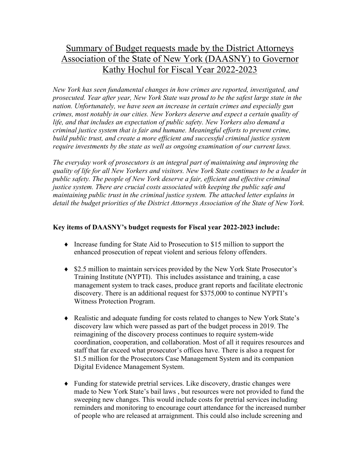# Summary of Budget requests made by the District Attorneys Association of the State of New York (DAASNY) to Governor Kathy Hochul for Fiscal Year 2022-2023

*New York has seen fundamental changes in how crimes are reported, investigated, and prosecuted. Year after year, New York State was proud to be the safest large state in the nation. Unfortunately, we have seen an increase in certain crimes and especially gun crimes, most notably in our cities. New Yorkers deserve and expect a certain quality of life, and that includes an expectation of public safety. New Yorkers also demand a criminal justice system that is fair and humane. Meaningful efforts to prevent crime, build public trust, and create a more efficient and successful criminal justice system require investments by the state as well as ongoing examination of our current laws.*

*The everyday work of prosecutors is an integral part of maintaining and improving the quality of life for all New Yorkers and visitors. New York State continues to be a leader in public safety. The people of New York deserve a fair, efficient and effective criminal justice system. There are crucial costs associated with keeping the public safe and maintaining public trust in the criminal justice system. The attached letter explains in detail the budget priorities of the District Attorneys Association of the State of New York.*

# **Key items of DAASNY's budget requests for Fiscal year 2022-2023 include:**

- $\bullet$  Increase funding for State Aid to Prosecution to \$15 million to support the enhanced prosecution of repeat violent and serious felony offenders.
- \$2.5 million to maintain services provided by the New York State Prosecutor's Training Institute (NYPTI). This includes assistance and training, a case management system to track cases, produce grant reports and facilitate electronic discovery. There is an additional request for \$375,000 to continue NYPTI's Witness Protection Program.
- Realistic and adequate funding for costs related to changes to New York State's discovery law which were passed as part of the budget process in 2019. The reimagining of the discovery process continues to require system-wide coordination, cooperation, and collaboration. Most of all it requires resources and staff that far exceed what prosecutor's offices have. There is also a request for \$1.5 million for the Prosecutors Case Management System and its companion Digital Evidence Management System.
- Funding for statewide pretrial services. Like discovery, drastic changes were made to New York State's bail laws , but resources were not provided to fund the sweeping new changes. This would include costs for pretrial services including reminders and monitoring to encourage court attendance for the increased number of people who are released at arraignment. This could also include screening and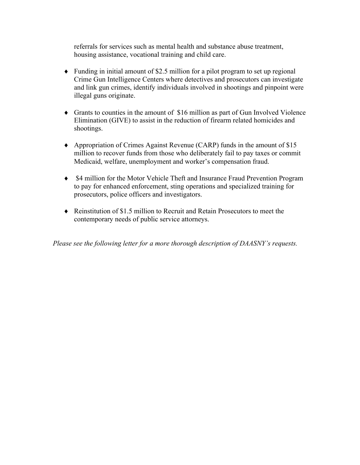referrals for services such as mental health and substance abuse treatment, housing assistance, vocational training and child care.

- $\bullet$  Funding in initial amount of \$2.5 million for a pilot program to set up regional Crime Gun Intelligence Centers where detectives and prosecutors can investigate and link gun crimes, identify individuals involved in shootings and pinpoint were illegal guns originate.
- $\bullet$  Grants to counties in the amount of \$16 million as part of Gun Involved Violence Elimination (GIVE) to assist in the reduction of firearm related homicides and shootings.
- Appropriation of Crimes Against Revenue (CARP) funds in the amount of  $$15$ million to recover funds from those who deliberately fail to pay taxes or commit Medicaid, welfare, unemployment and worker's compensation fraud.
- \$4 million for the Motor Vehicle Theft and Insurance Fraud Prevention Program to pay for enhanced enforcement, sting operations and specialized training for prosecutors, police officers and investigators.
- $\bullet$  Reinstitution of \$1.5 million to Recruit and Retain Prosecutors to meet the contemporary needs of public service attorneys.

*Please see the following letter for a more thorough description of DAASNY's requests.*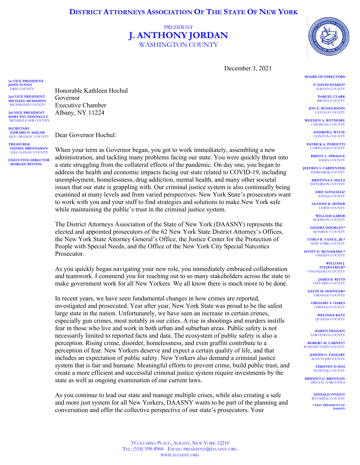# PRESIDENT **J. ANTHONY JORDAN** WASHINGTON COUNTY

December 3, 2021

**BOARD OF DIRECTORS**

**P. DAVID SOARES\*** ALBANY COUNTY

**DARCEL CLARK** BRONX COUNTY

**JON E. BUDELMANN** CAYUGA COUNTY

**WEEDEN A. WETMORE** CHEMUNG COUNTY

> **ANDREW J. WYLIE** CLINTON COUNTY

**PATRICK A. PERFETTI CORTLAND COUNT** 

**KRISTY L. SPRAGUE** ESSEX COUNTY

**JEFFREY S. CARPENTER HERKIMER COUNTY** 

> **KRISTYNA S. MILLS IEFFERSON COUNTY**

> > **ERIC GONZALEZ** KINGS COUNTY

**LEANNE K. MOSER** LEWIS COUNTY

**WILLIAM GABOR** MADISON COUNTY

**SANDRA DOORLEY\*** MONROE COUNTY

**CYRUS R. VANCE, JR.\*** NEW YORK COUNTY

**SCOTT D. MCNAMARA \*** ONEIDA COUNTY

> **WILLIAM J. FITZPATRICK\*** ONONDAGA COUNTY

> > **JAMES B. RITTS** ONTARIO COUNTY

**DAVID M. HOOVLER\*** ORANGE COUNTY

**GREGORY S. OAKES** OSWEGO COUNTY

> **MELINDA KATZ** QUEENS COUNTY

**KAREN HEGGEN SARATOGA COUNTY** 

**ROBERT M. CARNEY\*** SCHENECTADY COUNT

> **JOSEPH G. FAZZARY** SCHUYLER COUNTY

**TIMOTHY D SINI** SUFFOLK COUNT

**BRIDGET G. BRENNAN** SPECIAL NARCOTICS

> **DONALD O'GEEN** WYOMING COUNTY

**\* PAST PRESIDENT OF DAASNY**

Honorable Kathleen Hochul Governor Executive Chamber Albany, NY 11224

ADA, ORANGE COUNTY **TREASURER DANIEL BRESNAHAN** ADA, NASSAU COUNTY

**SECRETARY EDWARD D. SASLAW**

**1st VICE PRESIDENT JOHN FLYNN** ERIE COUNTY **2nd VICE PRESIDENT MICHAEL MCMAHON** RICHMOND COUNTY **3rd VICE PRESIDENT MARY PAT DONNELLY** RENSSELEAER COUNTY

**EXECUTIVE DIRECTOR MORGAN BITTON**

Dear Governor Hochul:

When your term as Governor began, you got to work immediately, assembling a new administration, and tackling many problems facing our state. You were quickly thrust into a state struggling from the collateral effects of the pandemic. On day one, you began to address the health and economic impacts facing our state related to COVID-19, including unemployment, homelessness, drug addiction, mental health, and many other societal issues that our state is grappling with. Our criminal justice system is also continually being examined at many levels and from varied perspectives. New York State's prosecutors want to work with you and your staff to find strategies and solutions to make New York safe while maintaining the public's trust in the criminal justice system.

The District Attorneys Association of the State of New York (DAASNY) represents the elected and appointed prosecutors of the 62 New York State District Attorney's Offices, the New York State Attorney General's Office, the Justice Center for the Protection of People with Special Needs, and the Office of the New York City Special Narcotics Prosecutor.

As you quickly began navigating your new role, you immediately embraced collaboration and teamwork. I commend you for reaching out to so many stakeholders across the state to make government work for all New Yorkers. We all know there is much more to be done.

In recent years, we have seen fundamental changes in how crimes are reported, investigated and prosecuted. Year after year, New York State was proud to be the safest large state in the nation. Unfortunately, we have seen an increase in certain crimes, especially gun crimes, most notably in our cities. A rise in shootings and murders instills fear in those who live and work in both urban and suburban areas. Public safety is not necessarily limited to reported facts and data. The ecosystem of public safety is also a perception. Rising crime, disorder, homelessness, and even graffiti contribute to a perception of fear. New Yorkers deserve and expect a certain quality of life, and that includes an expectation of public safety. New Yorkers also demand a criminal justice system that is fair and humane. Meaningful efforts to prevent crime, build public trust, and create a more efficient and successful criminal justice system require investments by the state as well as ongoing examination of our current laws.

As you continue to lead our state and manage multiple crises, while also creating a safe and more just system for all New Yorkers, DAASNY wants to be part of the planning and conversation and offer the collective perspective of our state's prosecutors. Your

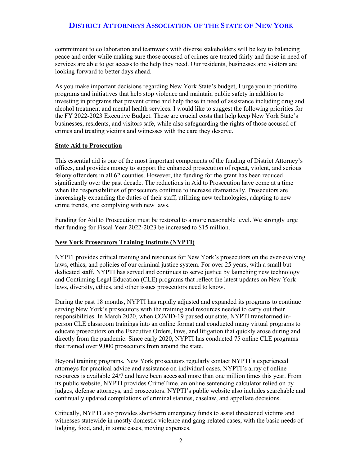commitment to collaboration and teamwork with diverse stakeholders will be key to balancing peace and order while making sure those accused of crimes are treated fairly and those in need of services are able to get access to the help they need. Our residents, businesses and visitors are looking forward to better days ahead.

As you make important decisions regarding New York State's budget, I urge you to prioritize programs and initiatives that help stop violence and maintain public safety in addition to investing in programs that prevent crime and help those in need of assistance including drug and alcohol treatment and mental health services. I would like to suggest the following priorities for the FY 2022-2023 Executive Budget. These are crucial costs that help keep New York State's businesses, residents, and visitors safe, while also safeguarding the rights of those accused of crimes and treating victims and witnesses with the care they deserve.

#### **State Aid to Prosecution**

This essential aid is one of the most important components of the funding of District Attorney's offices, and provides money to support the enhanced prosecution of repeat, violent, and serious felony offenders in all 62 counties. However, the funding for the grant has been reduced significantly over the past decade. The reductions in Aid to Prosecution have come at a time when the responsibilities of prosecutors continue to increase dramatically. Prosecutors are increasingly expanding the duties of their staff, utilizing new technologies, adapting to new crime trends, and complying with new laws.

Funding for Aid to Prosecution must be restored to a more reasonable level. We strongly urge that funding for Fiscal Year 2022-2023 be increased to \$15 million.

#### **New York Prosecutors Training Institute (NYPTI)**

NYPTI provides critical training and resources for New York's prosecutors on the ever-evolving laws, ethics, and policies of our criminal justice system. For over 25 years, with a small but dedicated staff, NYPTI has served and continues to serve justice by launching new technology and Continuing Legal Education (CLE) programs that reflect the latest updates on New York laws, diversity, ethics, and other issues prosecutors need to know.

During the past 18 months, NYPTI has rapidly adjusted and expanded its programs to continue serving New York's prosecutors with the training and resources needed to carry out their responsibilities. In March 2020, when COVID-19 paused our state, NYPTI transformed inperson CLE classroom trainings into an online format and conducted many virtual programs to educate prosecutors on the Executive Orders, laws, and litigation that quickly arose during and directly from the pandemic. Since early 2020, NYPTI has conducted 75 online CLE programs that trained over 9,000 prosecutors from around the state.

Beyond training programs, New York prosecutors regularly contact NYPTI's experienced attorneys for practical advice and assistance on individual cases. NYPTI's array of online resources is available 24/7 and have been accessed more than one million times this year. From its public website, NYPTI provides CrimeTime, an online sentencing calculator relied on by judges, defense attorneys, and prosecutors. NYPTI's public website also includes searchable and continually updated compilations of criminal statutes, caselaw, and appellate decisions.

Critically, NYPTI also provides short-term emergency funds to assist threatened victims and witnesses statewide in mostly domestic violence and gang-related cases, with the basic needs of lodging, food, and, in some cases, moving expenses.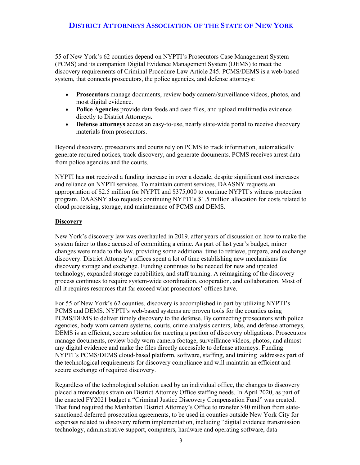55 of New York's 62 counties depend on NYPTI's Prosecutors Case Management System (PCMS) and its companion Digital Evidence Management System (DEMS) to meet the discovery requirements of Criminal Procedure Law Article 245. PCMS/DEMS is a web-based system, that connects prosecutors, the police agencies, and defense attorneys:

- **Prosecutors** manage documents, review body camera/surveillance videos, photos, and most digital evidence.
- **Police Agencies** provide data feeds and case files, and upload multimedia evidence directly to District Attorneys.
- **Defense attorneys** access an easy-to-use, nearly state-wide portal to receive discovery materials from prosecutors.

Beyond discovery, prosecutors and courts rely on PCMS to track information, automatically generate required notices, track discovery, and generate documents. PCMS receives arrest data from police agencies and the courts.

NYPTI has **not** received a funding increase in over a decade, despite significant cost increases and reliance on NYPTI services. To maintain current services, DAASNY requests an appropriation of \$2.5 million for NYPTI and \$375,000 to continue NYPTI's witness protection program. DAASNY also requests continuing NYPTI's \$1.5 million allocation for costs related to cloud processing, storage, and maintenance of PCMS and DEMS.

#### **Discovery**

New York's discovery law was overhauled in 2019, after years of discussion on how to make the system fairer to those accused of committing a crime. As part of last year's budget, minor changes were made to the law, providing some additional time to retrieve, prepare, and exchange discovery. District Attorney's offices spent a lot of time establishing new mechanisms for discovery storage and exchange. Funding continues to be needed for new and updated technology, expanded storage capabilities, and staff training. A reimagining of the discovery process continues to require system-wide coordination, cooperation, and collaboration. Most of all it requires resources that far exceed what prosecutors' offices have.

For 55 of New York's 62 counties, discovery is accomplished in part by utilizing NYPTI's PCMS and DEMS. NYPTI's web-based systems are proven tools for the counties using PCMS/DEMS to deliver timely discovery to the defense. By connecting prosecutors with police agencies, body worn camera systems, courts, crime analysis centers, labs, and defense attorneys, DEMS is an efficient, secure solution for meeting a portion of discovery obligations. Prosecutors manage documents, review body worn camera footage, surveillance videos, photos, and almost any digital evidence and make the files directly accessible to defense attorneys. Funding NYPTI's PCMS/DEMS cloud-based platform, software, staffing, and training addresses part of the technological requirements for discovery compliance and will maintain an efficient and secure exchange of required discovery.

Regardless of the technological solution used by an individual office, the changes to discovery placed a tremendous strain on District Attorney Office staffing needs. In April 2020, as part of the enacted FY2021 budget a "Criminal Justice Discovery Compensation Fund" was created. That fund required the Manhattan District Attorney's Office to transfer \$40 million from statesanctioned deferred prosecution agreements, to be used in counties outside New York City for expenses related to discovery reform implementation, including "digital evidence transmission technology, administrative support, computers, hardware and operating software, data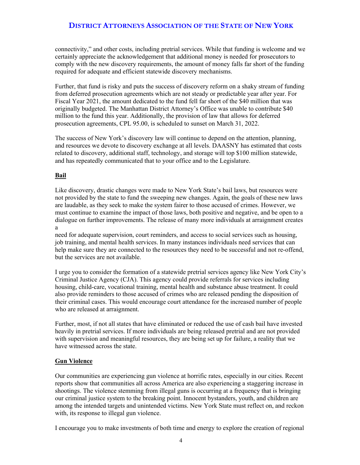connectivity," and other costs, including pretrial services. While that funding is welcome and we certainly appreciate the acknowledgement that additional money is needed for prosecutors to comply with the new discovery requirements, the amount of money falls far short of the funding required for adequate and efficient statewide discovery mechanisms.

Further, that fund is risky and puts the success of discovery reform on a shaky stream of funding from deferred prosecution agreements which are not steady or predictable year after year. For Fiscal Year 2021, the amount dedicated to the fund fell far short of the \$40 million that was originally budgeted. The Manhattan District Attorney's Office was unable to contribute \$40 million to the fund this year. Additionally, the provision of law that allows for deferred prosecution agreements, CPL 95.00, is scheduled to sunset on March 31, 2022.

The success of New York's discovery law will continue to depend on the attention, planning, and resources we devote to discovery exchange at all levels. DAASNY has estimated that costs related to discovery, additional staff, technology, and storage will top \$100 million statewide, and has repeatedly communicated that to your office and to the Legislature.

#### **Bail**

Like discovery, drastic changes were made to New York State's bail laws, but resources were not provided by the state to fund the sweeping new changes. Again, the goals of these new laws are laudable, as they seek to make the system fairer to those accused of crimes. However, we must continue to examine the impact of those laws, both positive and negative, and be open to a dialogue on further improvements. The release of many more individuals at arraignment creates a

need for adequate supervision, court reminders, and access to social services such as housing, job training, and mental health services. In many instances individuals need services that can help make sure they are connected to the resources they need to be successful and not re-offend, but the services are not available.

I urge you to consider the formation of a statewide pretrial services agency like New York City's Criminal Justice Agency (CJA). This agency could provide referrals for services including housing, child-care, vocational training, mental health and substance abuse treatment. It could also provide reminders to those accused of crimes who are released pending the disposition of their criminal cases. This would encourage court attendance for the increased number of people who are released at arraignment.

Further, most, if not all states that have eliminated or reduced the use of cash bail have invested heavily in pretrial services. If more individuals are being released pretrial and are not provided with supervision and meaningful resources, they are being set up for failure, a reality that we have witnessed across the state.

#### **Gun Violence**

Our communities are experiencing gun violence at horrific rates, especially in our cities. Recent reports show that communities all across America are also experiencing a staggering increase in shootings. The violence stemming from illegal guns is occurring at a frequency that is bringing our criminal justice system to the breaking point. Innocent bystanders, youth, and children are among the intended targets and unintended victims. New York State must reflect on, and reckon with, its response to illegal gun violence.

I encourage you to make investments of both time and energy to explore the creation of regional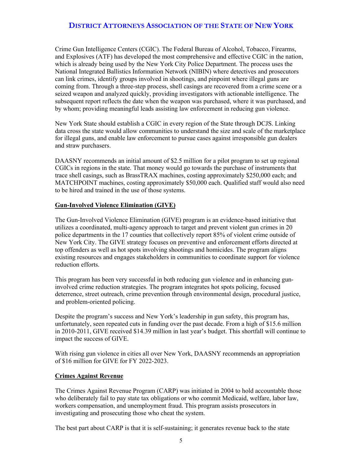Crime Gun Intelligence Centers (CGIC). The Federal Bureau of Alcohol, Tobacco, Firearms, and Explosives (ATF) has developed the most comprehensive and effective CGIC in the nation, which is already being used by the New York City Police Department. The process uses the National Integrated Ballistics Information Network (NIBIN) where detectives and prosecutors can link crimes, identify groups involved in shootings, and pinpoint where illegal guns are coming from. Through a three-step process, shell casings are recovered from a crime scene or a seized weapon and analyzed quickly, providing investigators with actionable intelligence. The subsequent report reflects the date when the weapon was purchased, where it was purchased, and by whom; providing meaningful leads assisting law enforcement in reducing gun violence.

New York State should establish a CGIC in every region of the State through DCJS. Linking data cross the state would allow communities to understand the size and scale of the marketplace for illegal guns, and enable law enforcement to pursue cases against irresponsible gun dealers and straw purchasers.

DAASNY recommends an initial amount of \$2.5 million for a pilot program to set up regional CGICs in regions in the state. That money would go towards the purchase of instruments that trace shell casings, such as BrassTRAX machines, costing approximately \$250,000 each; and MATCHPOINT machines, costing approximately \$50,000 each. Qualified staff would also need to be hired and trained in the use of those systems.

#### **Gun-Involved Violence Elimination (GIVE)**

The Gun-Involved Violence Elimination (GIVE) program is an evidence-based initiative that utilizes a coordinated, multi-agency approach to target and prevent violent gun crimes in 20 police departments in the 17 counties that collectively report 85% of violent crime outside of New York City. The GIVE strategy focuses on preventive and enforcement efforts directed at top offenders as well as hot spots involving shootings and homicides. The program aligns existing resources and engages stakeholders in communities to coordinate support for violence reduction efforts.

This program has been very successful in both reducing gun violence and in enhancing guninvolved crime reduction strategies. The program integrates hot spots policing, focused deterrence, street outreach, crime prevention through environmental design, procedural justice, and problem-oriented policing.

Despite the program's success and New York's leadership in gun safety, this program has, unfortunately, seen repeated cuts in funding over the past decade. From a high of \$15.6 million in 2010-2011, GIVE received \$14.39 million in last year's budget. This shortfall will continue to impact the success of GIVE.

With rising gun violence in cities all over New York, DAASNY recommends an appropriation of \$16 million for GIVE for FY 2022-2023.

#### **Crimes Against Revenue**

The Crimes Against Revenue Program (CARP) was initiated in 2004 to hold accountable those who deliberately fail to pay state tax obligations or who commit Medicaid, welfare, labor law, workers compensation, and unemployment fraud. This program assists prosecutors in investigating and prosecuting those who cheat the system.

The best part about CARP is that it is self-sustaining; it generates revenue back to the state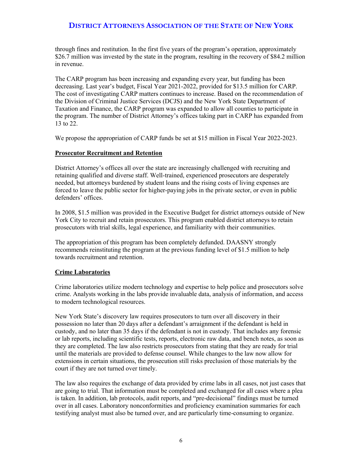through fines and restitution. In the first five years of the program's operation, approximately \$26.7 million was invested by the state in the program, resulting in the recovery of \$84.2 million in revenue.

The CARP program has been increasing and expanding every year, but funding has been decreasing. Last year's budget, Fiscal Year 2021-2022, provided for \$13.5 million for CARP. The cost of investigating CARP matters continues to increase. Based on the recommendation of the Division of Criminal Justice Services (DCJS) and the New York State Department of Taxation and Finance, the CARP program was expanded to allow all counties to participate in the program. The number of District Attorney's offices taking part in CARP has expanded from 13 to 22.

We propose the appropriation of CARP funds be set at \$15 million in Fiscal Year 2022-2023.

#### **Prosecutor Recruitment and Retention**

District Attorney's offices all over the state are increasingly challenged with recruiting and retaining qualified and diverse staff. Well-trained, experienced prosecutors are desperately needed, but attorneys burdened by student loans and the rising costs of living expenses are forced to leave the public sector for higher-paying jobs in the private sector, or even in public defenders' offices.

In 2008, \$1.5 million was provided in the Executive Budget for district attorneys outside of New York City to recruit and retain prosecutors. This program enabled district attorneys to retain prosecutors with trial skills, legal experience, and familiarity with their communities.

The appropriation of this program has been completely defunded. DAASNY strongly recommends reinstituting the program at the previous funding level of \$1.5 million to help towards recruitment and retention.

#### **Crime Laboratories**

Crime laboratories utilize modern technology and expertise to help police and prosecutors solve crime. Analysts working in the labs provide invaluable data, analysis of information, and access to modern technological resources.

New York State's discovery law requires prosecutors to turn over all discovery in their possession no later than 20 days after a defendant's arraignment if the defendant is held in custody, and no later than 35 days if the defendant is not in custody. That includes any forensic or lab reports, including scientific tests, reports, electronic raw data, and bench notes, as soon as they are completed. The law also restricts prosecutors from stating that they are ready for trial until the materials are provided to defense counsel. While changes to the law now allow for extensions in certain situations, the prosecution still risks preclusion of those materials by the court if they are not turned over timely.

The law also requires the exchange of data provided by crime labs in all cases, not just cases that are going to trial. That information must be completed and exchanged for all cases where a plea is taken. In addition, lab protocols, audit reports, and "pre-decisional" findings must be turned over in all cases. Laboratory nonconformities and proficiency examination summaries for each testifying analyst must also be turned over, and are particularly time-consuming to organize.